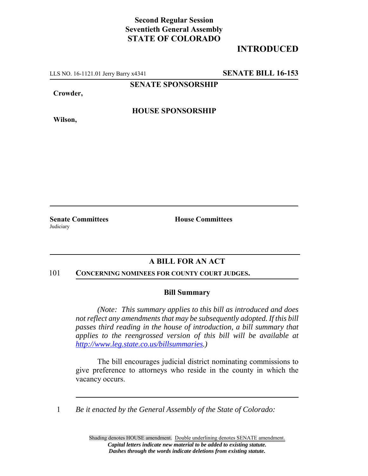# **Second Regular Session Seventieth General Assembly STATE OF COLORADO**

# **INTRODUCED**

LLS NO. 16-1121.01 Jerry Barry x4341 **SENATE BILL 16-153**

**SENATE SPONSORSHIP**

**Crowder,**

**Wilson,**

**HOUSE SPONSORSHIP**

**Senate Committees House Committees Judiciary** 

## **A BILL FOR AN ACT**

#### 101 **CONCERNING NOMINEES FOR COUNTY COURT JUDGES.**

### **Bill Summary**

*(Note: This summary applies to this bill as introduced and does not reflect any amendments that may be subsequently adopted. If this bill passes third reading in the house of introduction, a bill summary that applies to the reengrossed version of this bill will be available at http://www.leg.state.co.us/billsummaries.)*

The bill encourages judicial district nominating commissions to give preference to attorneys who reside in the county in which the vacancy occurs.

1 *Be it enacted by the General Assembly of the State of Colorado:*